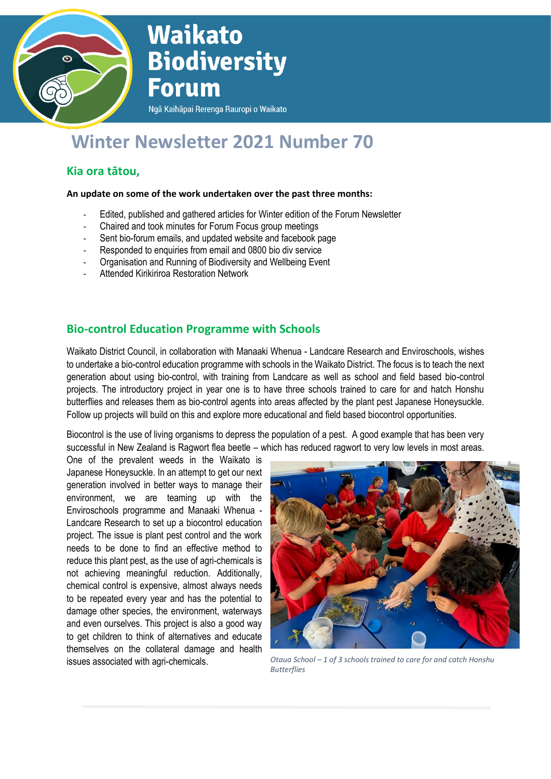

# **Waikato Biodiversity Forum**

Ngā Kaihāpai Rerenga Rauropi o Waikato

# **Winter Newsletter 2021 Number 70**

# **Kia ora tātou,**

#### **An update on some of the work undertaken over the past three months:**

- Edited, published and gathered articles for Winter edition of the Forum Newsletter
- Chaired and took minutes for Forum Focus group meetings
- Sent bio-forum emails, and updated website and facebook page
- Responded to enquiries from email and 0800 bio div service
- Organisation and Running of Biodiversity and Wellbeing Event
- Attended Kirikiriroa Restoration Network

## **Bio-control Education Programme with Schools**

Waikato District Council, in collaboration with Manaaki Whenua - Landcare Research and Enviroschools, wishes to undertake a bio-control education programme with schools in the Waikato District. The focus is to teach the next generation about using bio-control, with training from Landcare as well as school and field based bio-control projects. The introductory project in year one is to have three schools trained to care for and hatch Honshu butterflies and releases them as bio-control agents into areas affected by the plant pest Japanese Honeysuckle. Follow up projects will build on this and explore more educational and field based biocontrol opportunities.

Biocontrol is the use of living organisms to depress the population of a pest. A good example that has been very successful in New Zealand is Ragwort flea beetle – which has reduced ragwort to very low levels in most areas.

One of the prevalent weeds in the Waikato is Japanese Honeysuckle. In an attempt to get our next generation involved in better ways to manage their environment, we are teaming up with the Enviroschools programme and Manaaki Whenua - Landcare Research to set up a biocontrol education project. The issue is plant pest control and the work needs to be done to find an effective method to reduce this plant pest, as the use of agri-chemicals is not achieving meaningful reduction. Additionally, chemical control is expensive, almost always needs to be repeated every year and has the potential to damage other species, the environment, waterways and even ourselves. This project is also a good way to get children to think of alternatives and educate themselves on the collateral damage and health



issues associated with agri-chemicals. *Otaua School – 1 of 3 schools trained to care for and catch Honshu Butterflies*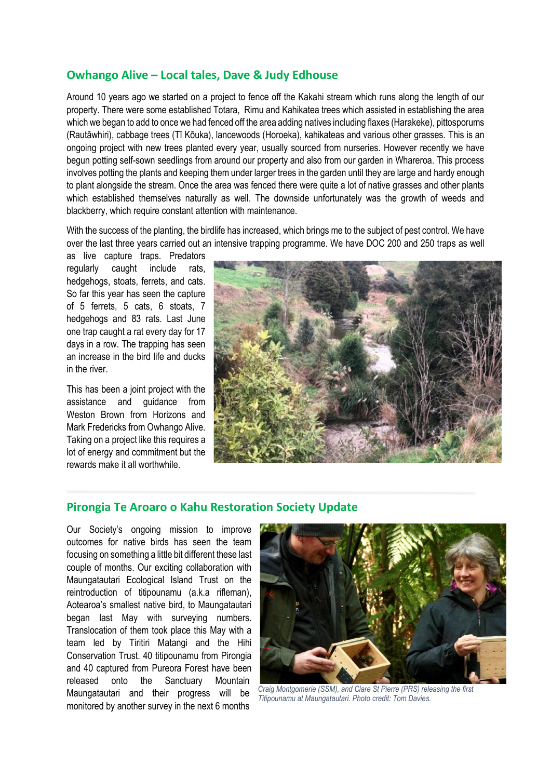#### **Owhango Alive – Local tales, Dave & Judy Edhouse**

Around 10 years ago we started on a project to fence off the Kakahi stream which runs along the length of our property. There were some established Totara, Rimu and Kahikatea trees which assisted in establishing the area which we began to add to once we had fenced off the area adding natives including flaxes (Harakeke), pittosporums (Rautāwhiri), cabbage trees (Tī Kōuka), lancewoods (Horoeka), kahikateas and various other grasses. This is an ongoing project with new trees planted every year, usually sourced from nurseries. However recently we have begun potting self-sown seedlings from around our property and also from our garden in Whareroa. This process involves potting the plants and keeping them under larger trees in the garden until they are large and hardy enough to plant alongside the stream. Once the area was fenced there were quite a lot of native grasses and other plants which established themselves naturally as well. The downside unfortunately was the growth of weeds and blackberry, which require constant attention with maintenance.

With the success of the planting, the birdlife has increased, which brings me to the subject of pest control. We have over the last three years carried out an intensive trapping programme. We have DOC 200 and 250 traps as well

as live capture traps. Predators regularly caught include rats, hedgehogs, stoats, ferrets, and cats. So far this year has seen the capture of 5 ferrets, 5 cats, 6 stoats, 7 hedgehogs and 83 rats. Last June one trap caught a rat every day for 17 days in a row. The trapping has seen an increase in the bird life and ducks in the river.

This has been a joint project with the assistance and guidance from Weston Brown from Horizons and Mark Fredericks from Owhango Alive. Taking on a project like this requires a lot of energy and commitment but the rewards make it all worthwhile.



#### **Pirongia Te Aroaro o Kahu Restoration Society Update**

Our Society's ongoing mission to improve outcomes for native birds has seen the team focusing on something a little bit different these last couple of months. Our exciting collaboration with Maungatautari Ecological Island Trust on the reintroduction of titipounamu (a.k.a rifleman), Aotearoa's smallest native bird, to Maungatautari began last May with surveying numbers. Translocation of them took place this May with a team led by Tiritiri Matangi and the Hihi Conservation Trust. 40 titipounamu from Pirongia and 40 captured from Pureora Forest have been released onto the Sanctuary Mountain Maungatautari and their progress will be monitored by another survey in the next 6 months



*Craig Montgomerie (SSM), and Clare St Pierre (PRS) releasing the first Titipounamu at Maungatautari. Photo credit: Tom Davies.*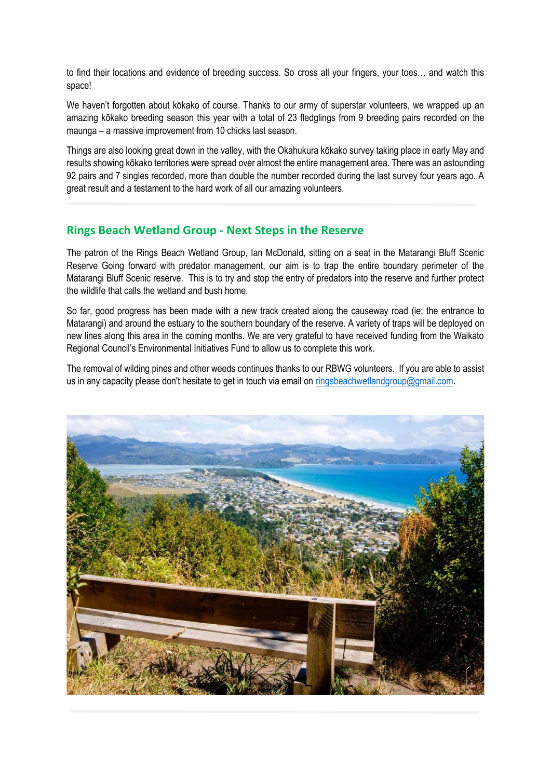to find their locations and evidence of breeding success. So cross all your fingers, your toes… and watch this space!

We haven't forgotten about kōkako of course. Thanks to our army of superstar volunteers, we wrapped up an amazing kōkako breeding season this year with a total of 23 fledglings from 9 breeding pairs recorded on the maunga – a massive improvement from 10 chicks last season.

Things are also looking great down in the valley, with the Okahukura kōkako survey taking place in early May and results showing kōkako territories were spread over almost the entire management area. There was an astounding 92 pairs and 7 singles recorded, more than double the number recorded during the last survey four years ago. A great result and a testament to the hard work of all our amazing volunteers.

### **Rings Beach Wetland Group - Next Steps in the Reserve**

The patron of the Rings Beach Wetland Group, Ian McDonald, sitting on a seat in the Matarangi Bluff Scenic Reserve Going forward with predator management, our aim is to trap the entire boundary perimeter of the Matarangi Bluff Scenic reserve. This is to try and stop the entry of predators into the reserve and further protect the wildlife that calls the wetland and bush home.

So far, good progress has been made with a new track created along the causeway road (ie: the entrance to Matarangi) and around the estuary to the southern boundary of the reserve. A variety of traps will be deployed on new lines along this area in the coming months. We are very grateful to have received funding from the Waikato Regional Council's Environmental Initiatives Fund to allow us to complete this work.

The removal of wilding pines and other weeds continues thanks to our RBWG volunteers. If you are able to assist us in any capacity please don't hesitate to get in touch via email on [ringsbeachwetlandgroup@gmail.com.](mailto:ringsbeachwetlandgroup@gmail.com)